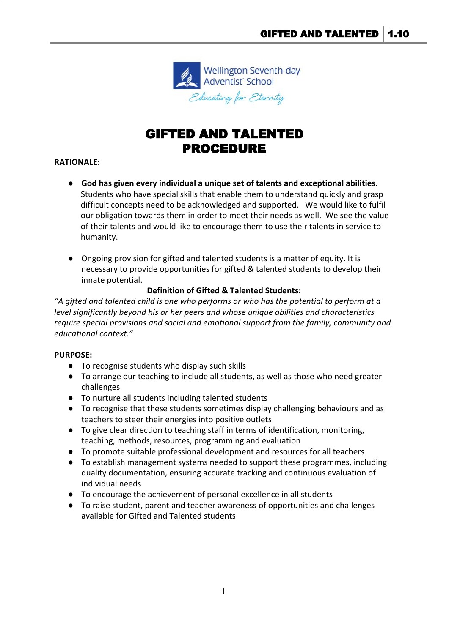

# GIFTED AND TALENTED PROCEDURE

## **RATIONALE:**

- **God has given every individual a unique set of talents and exceptional abilities**. Students who have special skills that enable them to understand quickly and grasp difficult concepts need to be acknowledged and supported. We would like to fulfil our obligation towards them in order to meet their needs as well. We see the value of their talents and would like to encourage them to use their talents in service to humanity.
- Ongoing provision for gifted and talented students is a matter of equity. It is necessary to provide opportunities for gifted & talented students to develop their innate potential.

## **Definition of Gifted & Talented Students:**

*"A gifted and talented child is one who performs or who has the potential to perform at a level significantly beyond his or her peers and whose unique abilities and characteristics require special provisions and social and emotional support from the family, community and educational context."*

## **PURPOSE:**

- To recognise students who display such skills
- To arrange our teaching to include all students, as well as those who need greater challenges
- To nurture all students including talented students
- To recognise that these students sometimes display challenging behaviours and as teachers to steer their energies into positive outlets
- **●** To give clear direction to teaching staff in terms of identification, monitoring, teaching, methods, resources, programming and evaluation
- **●** To promote suitable professional development and resources for all teachers
- **●** To establish management systems needed to support these programmes, including quality documentation, ensuring accurate tracking and continuous evaluation of individual needs
- **●** To encourage the achievement of personal excellence in all students
- **●** To raise student, parent and teacher awareness of opportunities and challenges available for Gifted and Talented students